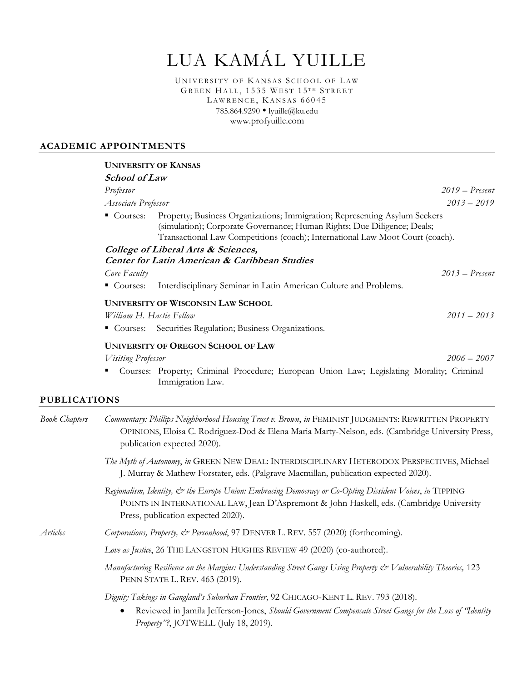# LUA KAMÁL YUILLE

UNIVERSITY OF KANSAS SCHOOL OF LAW GREEN HALL, 1535 WEST 15TH STREET LAWRENCE, KANSAS 66045 785.864.9290 • lyuille@ku.edu www.profyuille.com

#### **ACADEMIC APPOINTMENTS**

|                                                          |                                           | <b>UNIVERSITY OF KANSAS</b>                                                                                                                                                                                                            |                  |
|----------------------------------------------------------|-------------------------------------------|----------------------------------------------------------------------------------------------------------------------------------------------------------------------------------------------------------------------------------------|------------------|
|                                                          | <b>School of Law</b>                      |                                                                                                                                                                                                                                        |                  |
|                                                          | Professor                                 |                                                                                                                                                                                                                                        | $2019 - Present$ |
|                                                          | Associate Professor                       |                                                                                                                                                                                                                                        | $2013 - 2019$    |
|                                                          | $\blacksquare$ Courses:                   | Property; Business Organizations; Immigration; Representing Asylum Seekers<br>(simulation); Corporate Governance; Human Rights; Due Diligence; Deals;<br>Transactional Law Competitions (coach); International Law Moot Court (coach). |                  |
|                                                          | College of Liberal Arts & Sciences,       |                                                                                                                                                                                                                                        |                  |
| <b>Center for Latin American &amp; Caribbean Studies</b> |                                           |                                                                                                                                                                                                                                        |                  |
|                                                          | Core Faculty                              |                                                                                                                                                                                                                                        | $2013$ – Present |
|                                                          | $\blacksquare$ Courses:                   | Interdisciplinary Seminar in Latin American Culture and Problems.                                                                                                                                                                      |                  |
|                                                          | <b>UNIVERSITY OF WISCONSIN LAW SCHOOL</b> |                                                                                                                                                                                                                                        |                  |
|                                                          | William H. Hastie Fellow                  |                                                                                                                                                                                                                                        | $2011 - 2013$    |
|                                                          |                                           | • Courses: Securities Regulation; Business Organizations.                                                                                                                                                                              |                  |
|                                                          |                                           | <b>UNIVERSITY OF OREGON SCHOOL OF LAW</b>                                                                                                                                                                                              |                  |
|                                                          | <b>Visiting Professor</b>                 |                                                                                                                                                                                                                                        | $2006 - 2007$    |
|                                                          |                                           | Courses: Property; Criminal Procedure; European Union Law; Legislating Morality; Criminal<br>Immigration Law.                                                                                                                          |                  |
| <b>PUBLICATIONS</b>                                      |                                           |                                                                                                                                                                                                                                        |                  |
| Book Chapters                                            |                                           | Commentary: Phillips Neighborhood Housing Trust v. Brown in FEMINIST HIDGMENTS: REWRITTEN PROPERTY                                                                                                                                     |                  |

*Book Chapters Commentary: Phillips Neighborhood Housing Trust v. Brown*, *in* FEMINIST JUDGMENTS: REWRITTEN PROPERTY OPINIONS, Eloisa C. Rodriguez-Dod & Elena Maria Marty-Nelson, eds. (Cambridge University Press, publication expected 2020).

- *The Myth of Autonomy*, *in* GREEN NEW DEAL: INTERDISCIPLINARY HETERODOX PERSPECTIVES, Michael J. Murray & Mathew Forstater, eds. (Palgrave Macmillan, publication expected 2020).
- *Regionalism, Identity, & the Europe Union: Embracing Democracy or Co-Opting Dissident Voices*, *in* TIPPING POINTS IN INTERNATIONAL LAW, Jean D'Aspremont & John Haskell, eds. (Cambridge University Press, publication expected 2020).

*Articles Corporations, Property, & Personhood*, 97 DENVER L. REV. 557 (2020) (forthcoming).

Love as *Justice*, 26 THE LANGSTON HUGHES REVIEW 49 (2020) (co-authored).

*Manufacturing Resilience on the Margins: Understanding Street Gangs Using Property*  $\mathcal O$  *Vulnerability Theories, 123* PENN STATE L. REV. 463 (2019).

*Dignity Takings in Gangland's Suburban Frontier*, 92 CHICAGO-KENT L. REV. 793 (2018).

x Reviewed in Jamila Jefferson-Jones, *Should Government Compensate Street Gangs for the Loss of "Identity Property"?*, JOTWELL (July 18, 2019).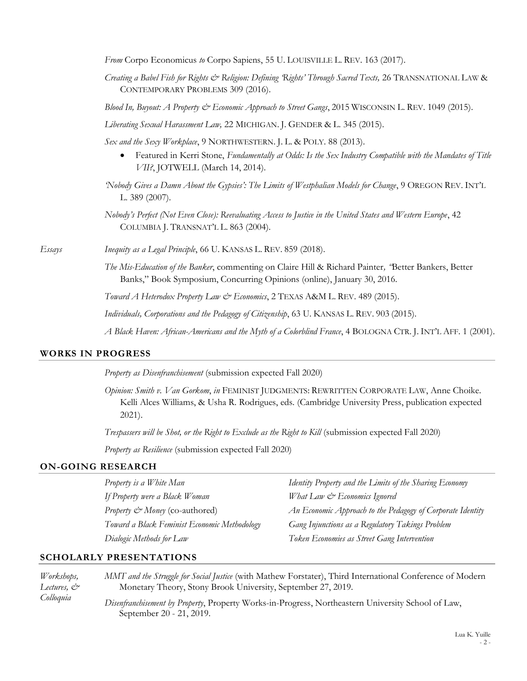*From* Corpo Economicus *to* Corpo Sapiens, 55 U. LOUISVILLE L. REV. 163 (2017).

*Creating a Babel Fish for Rights & Religion: Defining 'Rights' Through Sacred Texts,* 26 TRANSNATIONAL LAW & CONTEMPORARY PROBLEMS 309 (2016).

*Blood In, Buyout: A Property & Economic Approach to Street Gangs*, 2015 WISCONSIN L. REV. 1049 (2015).

*Liberating Sexual Harassment Law,* 22 MICHIGAN. J. GENDER & L. 345 (2015).

*Sex and the Sexy Workplace*, 9 NORTHWESTERN. J. L. & POLY. 88 (2013).

x Featured in Kerri Stone, *Fundamentally at Odds: Is the Sex Industry Compatible with the Mandates of Title VII?*, JOTWELL (March 14, 2014).

*'Nobody Gives a Damn About the Gypsies': The Limits of Westphalian Models for Change*, 9 OREGON REV. INT'L L. 389 (2007).

*Nobody's Perfect (Not Even Close): Reevaluating Access to Justice in the United States and Western Europe*, 42 COLUMBIA J. TRANSNAT'L L. 863 (2004).

*Essays Inequity as a Legal Principle*, 66 U. KANSAS L. REV. 859 (2018).

*The Mis-Education of the Banker*, commenting on Claire Hill & Richard Painter*, "*Better Bankers, Better Banks," Book Symposium, Concurring Opinions (online), January 30, 2016.

*Toward A Heterodox Property Law & Economics*, 2 TEXAS A&M L. REV. 489 (2015).

*Individuals, Corporations and the Pedagogy of Citizenship*, 63 U. KANSAS L. REV. 903 (2015).

*A Black Haven: African-Americans and the Myth of a Colorblind France*, 4 BOLOGNA CTR. J. INT'L AFF. 1 (2001).

#### **WORKS IN PROGRESS**

*Property as Disenfranchisement* (submission expected Fall 2020)

*Opinion: Smith v. Van Gorkom*, *in* FEMINIST JUDGMENTS: REWRITTEN CORPORATE LAW, Anne Choike. Kelli Alces Williams, & Usha R. Rodrigues, eds. (Cambridge University Press, publication expected 2021).

*Trespassers will be Shot, or the Right to Exclude as the Right to Kill* (submission expected Fall 2020)

*Property as Resilience* (submission expected Fall 2020)

# **ON-GOING RESEARCH**

*Property is a White Man If Property were a Black Woman Property*  $\mathcal{L}$  *Money* (co-authored) *Toward a Black Feminist Economic Methodology Dialogic Methods for Law* 

*Identity Property and the Limits of the Sharing Economy What Law & Economics Ignored An Economic Approach to the Pedagogy of Corporate Identity Gang Injunctions as a Regulatory Takings Problem Token Economies as Street Gang Intervention*

#### **SCHOLARLY PRESENTATIONS**

*Workshops, Lectures, & Colloquia MMT and the Struggle for Social Justice* (with Mathew Forstater), Third International Conference of Modern Monetary Theory, Stony Brook University, September 27, 2019. *Disenfranchisement by Property*, Property Works-in-Progress, Northeastern University School of Law, September 20 - 21, 2019.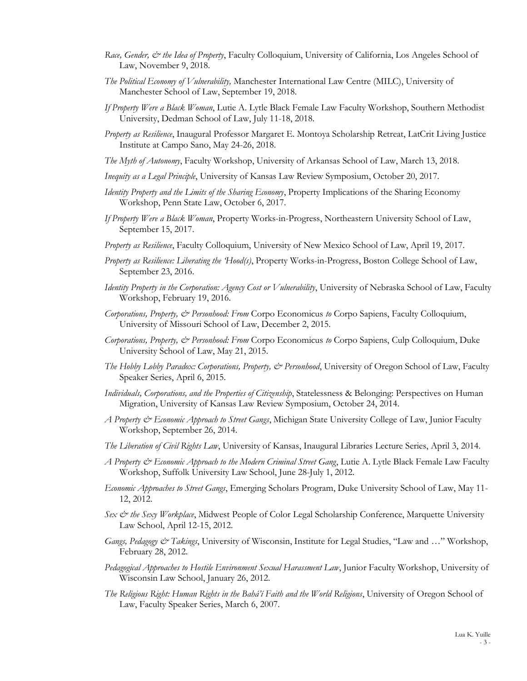- *Race, Gender, & the Idea of Property*, Faculty Colloquium, University of California, Los Angeles School of Law, November 9, 2018.
- *The Political Economy of Vulnerability,* Manchester International Law Centre (MILC), University of Manchester School of Law, September 19, 2018.
- *If Property Were a Black Woman*, Lutie A. Lytle Black Female Law Faculty Workshop, Southern Methodist University, Dedman School of Law, July 11-18, 2018.
- *Property as Resilience*, Inaugural Professor Margaret E. Montoya Scholarship Retreat, LatCrit Living Justice Institute at Campo Sano, May 24-26, 2018.
- *The Myth of Autonomy*, Faculty Workshop, University of Arkansas School of Law, March 13, 2018.
- *Inequity as a Legal Principle*, University of Kansas Law Review Symposium, October 20, 2017.
- *Identity Property and the Limits of the Sharing Economy*, Property Implications of the Sharing Economy Workshop, Penn State Law, October 6, 2017.
- *If Property Were a Black Woman*, Property Works-in-Progress, Northeastern University School of Law, September 15, 2017.
- *Property as Resilience*, Faculty Colloquium, University of New Mexico School of Law, April 19, 2017.
- *Property as Resilience: Liberating the 'Hood(s)*, Property Works-in-Progress, Boston College School of Law, September 23, 2016.
- *Identity Property in the Corporation: Agency Cost or Vulnerability*, University of Nebraska School of Law, Faculty Workshop, February 19, 2016.
- *Corporations, Property, & Personhood: From* Corpo Economicus *to* Corpo Sapiens, Faculty Colloquium, University of Missouri School of Law, December 2, 2015.
- *Corporations, Property, & Personhood: From* Corpo Economicus *to* Corpo Sapiens, Culp Colloquium, Duke University School of Law, May 21, 2015.
- *The Hobby Lobby Paradox: Corporations, Property, & Personhood*, University of Oregon School of Law, Faculty Speaker Series, April 6, 2015.
- *Individuals, Corporations, and the Properties of Citizenship*, Statelessness & Belonging: Perspectives on Human Migration, University of Kansas Law Review Symposium, October 24, 2014.
- *A Property & Economic Approach to Street Gangs*, Michigan State University College of Law, Junior Faculty Workshop, September 26, 2014.
- *The Liberation of Civil Rights Law*, University of Kansas, Inaugural Libraries Lecture Series, April 3, 2014.
- *A Property & Economic Approach to the Modern Criminal Street Gang*, Lutie A. Lytle Black Female Law Faculty Workshop, Suffolk University Law School, June 28-July 1, 2012.
- *Economic Approaches to Street Gangs*, Emerging Scholars Program, Duke University School of Law, May 11- 12, 2012.
- *Sex & the Sexy Workplace*, Midwest People of Color Legal Scholarship Conference, Marquette University Law School, April 12-15, 2012.
- *Gangs, Pedagogy & Takings*, University of Wisconsin, Institute for Legal Studies, "Law and …" Workshop, February 28, 2012.
- *Pedagogical Approaches to Hostile Environment Sexual Harassment Law*, Junior Faculty Workshop, University of Wisconsin Law School, January 26, 2012.
- *The Religious Right: Human Rights in the Bahá'í Faith and the World Religions*, University of Oregon School of Law, Faculty Speaker Series, March 6, 2007.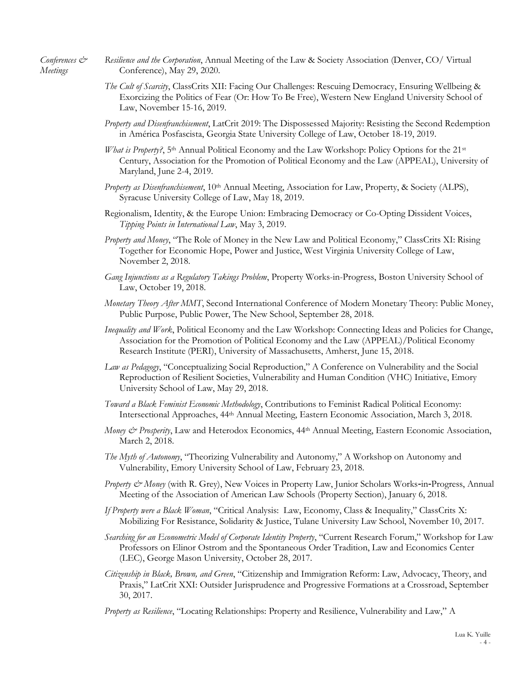*Conferences & Meetings* 

- *Resilience and the Corporation*, Annual Meeting of the Law & Society Association (Denver, CO/ Virtual Conference), May 29, 2020.
- *The Cult of Scarcity*, ClassCrits XII: Facing Our Challenges: Rescuing Democracy, Ensuring Wellbeing & Exorcizing the Politics of Fear (Or: How To Be Free), Western New England University School of Law, November 15-16, 2019.
- *Property and Disenfranchisement*, LatCrit 2019: The Dispossessed Majority: Resisting the Second Redemption in América Posfascista, Georgia State University College of Law, October 18-19, 2019.
- *What is Property?*, 5<sup>th</sup> Annual Political Economy and the Law Workshop: Policy Options for the 21<sup>st</sup> Century, Association for the Promotion of Political Economy and the Law (APPEAL), University of Maryland, June 2-4, 2019.
- *Property as Disenfranchisement*, 10th Annual Meeting, Association for Law, Property, & Society (ALPS), Syracuse University College of Law, May 18, 2019.
- Regionalism, Identity, & the Europe Union: Embracing Democracy or Co-Opting Dissident Voices, *Tipping Points in International Law*, May 3, 2019.
- *Property and Money*, "The Role of Money in the New Law and Political Economy," ClassCrits XI: Rising Together for Economic Hope, Power and Justice, West Virginia University College of Law, November 2, 2018.
- *Gang Injunctions as a Regulatory Takings Problem*, Property Works-in-Progress, Boston University School of Law, October 19, 2018.
- *Monetary Theory After MMT*, Second International Conference of Modern Monetary Theory: Public Money, Public Purpose, Public Power, The New School, September 28, 2018.
- *Inequality and Work*, Political Economy and the Law Workshop: Connecting Ideas and Policies for Change, Association for the Promotion of Political Economy and the Law (APPEAL)/Political Economy Research Institute (PERI), University of Massachusetts, Amherst, June 15, 2018.
- *Law as Pedagogy*, "Conceptualizing Social Reproduction," A Conference on Vulnerability and the Social Reproduction of Resilient Societies, Vulnerability and Human Condition (VHC) Initiative, Emory University School of Law, May 29, 2018.
- *Toward a Black Feminist Economic Methodology*, Contributions to Feminist Radical Political Economy: Intersectional Approaches, 44th Annual Meeting, Eastern Economic Association, March 3, 2018.
- *Money & Prosperity*, Law and Heterodox Economics, 44<sup>th</sup> Annual Meeting, Eastern Economic Association, March 2, 2018.
- *The Myth of Autonomy*, "Theorizing Vulnerability and Autonomy," A Workshop on Autonomy and Vulnerability, Emory University School of Law, February 23, 2018.
- *Property & Money* (with R. Grey), New Voices in Property Law, Junior Scholars Works-in-Progress, Annual Meeting of the Association of American Law Schools (Property Section), January 6, 2018.
- *If Property were a Black Woman*, "Critical Analysis: Law, Economy, Class & Inequality," ClassCrits X: Mobilizing For Resistance, Solidarity & Justice, Tulane University Law School, November 10, 2017.
- *Searching for an Econometric Model of Corporate Identity Property*, "Current Research Forum," Workshop for Law Professors on Elinor Ostrom and the Spontaneous Order Tradition, Law and Economics Center (LEC), George Mason University, October 28, 2017.
- *Citizenship in Black, Brown, and Green*, "Citizenship and Immigration Reform: Law, Advocacy, Theory, and Praxis," LatCrit XXI: Outsider Jurisprudence and Progressive Formations at a Crossroad, September 30, 2017.
- *Property as Resilience*, "Locating Relationships: Property and Resilience, Vulnerability and Law," A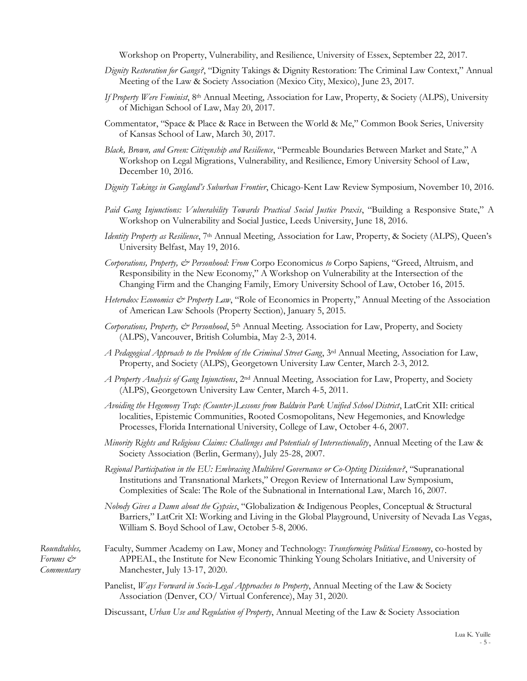Workshop on Property, Vulnerability, and Resilience, University of Essex, September 22, 2017.

- *Dignity Restoration for Gangs?*, "Dignity Takings & Dignity Restoration: The Criminal Law Context," Annual Meeting of the Law & Society Association (Mexico City, Mexico), June 23, 2017.
- *If Property Were Feminist*, 8th Annual Meeting, Association for Law, Property, & Society (ALPS), University of Michigan School of Law, May 20, 2017.
- Commentator, "Space & Place & Race in Between the World & Me," Common Book Series, University of Kansas School of Law, March 30, 2017.
- *Black, Brown, and Green: Citizenship and Resilience*, "Permeable Boundaries Between Market and State," A Workshop on Legal Migrations, Vulnerability, and Resilience, Emory University School of Law, December 10, 2016.
- *Dignity Takings in Gangland's Suburban Frontier*, Chicago-Kent Law Review Symposium, November 10, 2016.
- *Paid Gang Injunctions: Vulnerability Towards Practical Social Justice Praxis*, "Building a Responsive State," A Workshop on Vulnerability and Social Justice, Leeds University, June 18, 2016.
- *Identity Property as Resilience*, 7<sup>th</sup> Annual Meeting, Association for Law, Property, & Society (ALPS), Queen's University Belfast, May 19, 2016.
- *Corporations, Property, & Personhood: From* Corpo Economicus *to* Corpo Sapiens, "Greed, Altruism, and Responsibility in the New Economy," A Workshop on Vulnerability at the Intersection of the Changing Firm and the Changing Family, Emory University School of Law, October 16, 2015.
- *Heterodox Economics & Property Law*, "Role of Economics in Property," Annual Meeting of the Association of American Law Schools (Property Section), January 5, 2015.
- *Corporations, Property, & Personhood*, 5th Annual Meeting. Association for Law, Property, and Society (ALPS), Vancouver, British Columbia, May 2-3, 2014.
- *A Pedagogical Approach to the Problem of the Criminal Street Gang*, 3rd Annual Meeting, Association for Law, Property, and Society (ALPS), Georgetown University Law Center, March 2-3, 2012.
- *A Property Analysis of Gang Injunctions*, 2nd Annual Meeting, Association for Law, Property, and Society (ALPS), Georgetown University Law Center, March 4-5, 2011.
- *Avoiding the Hegemony Trap: (Counter-)Lessons from Baldwin Park Unified School District*, LatCrit XII: critical localities, Epistemic Communities, Rooted Cosmopolitans, New Hegemonies, and Knowledge Processes, Florida International University, College of Law, October 4-6, 2007.
- *Minority Rights and Religious Claims: Challenges and Potentials of Intersectionality*, Annual Meeting of the Law & Society Association (Berlin, Germany), July 25-28, 2007.
- *Regional Participation in the EU: Embracing Multilevel Governance or Co-Opting Dissidence?*, "Supranational Institutions and Transnational Markets," Oregon Review of International Law Symposium, Complexities of Scale: The Role of the Subnational in International Law, March 16, 2007.
- *Nobody Gives a Damn about the Gypsies*, "Globalization & Indigenous Peoples, Conceptual & Structural Barriers," LatCrit XI: Working and Living in the Global Playground, University of Nevada Las Vegas, William S. Boyd School of Law, October 5-8, 2006.
- *Roundtables, Forums & Commentary*
- Faculty, Summer Academy on Law, Money and Technology: *Transforming Political Economy*, co-hosted by APPEAL, the Institute for New Economic Thinking Young Scholars Initiative, and University of Manchester, July 13-17, 2020.
	- Panelist, *Ways Forward in Socio-Legal Approaches to Property*, Annual Meeting of the Law & Society Association (Denver, CO/ Virtual Conference), May 31, 2020.
	- Discussant, *Urban Use and Regulation of Property*, Annual Meeting of the Law & Society Association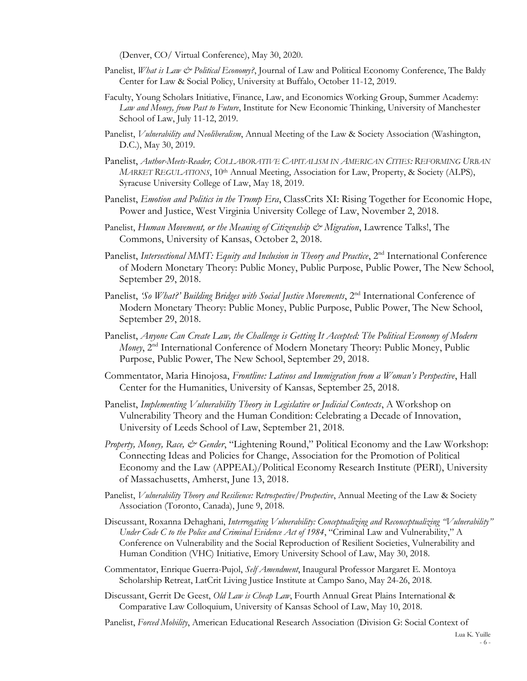(Denver, CO/ Virtual Conference), May 30, 2020.

- Panelist, *What is Law & Political Economy?*, Journal of Law and Political Economy Conference, The Baldy Center for Law & Social Policy, University at Buffalo, October 11-12, 2019.
- Faculty, Young Scholars Initiative, Finance, Law, and Economics Working Group, Summer Academy: *Law and Money, from Past to Future*, Institute for New Economic Thinking, University of Manchester School of Law, July 11-12, 2019.
- Panelist, *Vulnerability and Neoliberalism*, Annual Meeting of the Law & Society Association (Washington, D.C.), May 30, 2019.
- Panelist, *Author-Meets-Reader, COLLABORATIVE CAPITALISM IN AMERICAN CITIES: REFORMING URBAN MARKET REGULATIONS*, 10th Annual Meeting, Association for Law, Property, & Society (ALPS), Syracuse University College of Law, May 18, 2019.
- Panelist, *Emotion and Politics in the Trump Era*, ClassCrits XI: Rising Together for Economic Hope, Power and Justice, West Virginia University College of Law, November 2, 2018.
- Panelist, *Human Movement, or the Meaning of Citizenship & Migration*, Lawrence Talks!, The Commons, University of Kansas, October 2, 2018.
- Panelist, *Intersectional MMT: Equity and Inclusion in Theory and Practice*, 2<sup>nd</sup> International Conference of Modern Monetary Theory: Public Money, Public Purpose, Public Power, The New School, September 29, 2018.
- Panelist, 'So What?' Building Bridges with Social Justice Movements, 2<sup>nd</sup> International Conference of Modern Monetary Theory: Public Money, Public Purpose, Public Power, The New School, September 29, 2018.
- Panelist, *Anyone Can Create Law, the Challenge is Getting It Accepted: The Political Economy of Modern Money*, 2<sup>nd</sup> International Conference of Modern Monetary Theory: Public Money, Public Purpose, Public Power, The New School, September 29, 2018.
- Commentator, Maria Hinojosa, *Frontline: Latinos and Immigration from a Woman's Perspective*, Hall Center for the Humanities, University of Kansas, September 25, 2018.
- Panelist, *Implementing Vulnerability Theory in Legislative or Judicial Contexts*, A Workshop on Vulnerability Theory and the Human Condition: Celebrating a Decade of Innovation, University of Leeds School of Law, September 21, 2018.
- *Property, Money, Race, & Gender*, "Lightening Round," Political Economy and the Law Workshop: Connecting Ideas and Policies for Change, Association for the Promotion of Political Economy and the Law (APPEAL)/Political Economy Research Institute (PERI), University of Massachusetts, Amherst, June 13, 2018.
- Panelist, *Vulnerability Theory and Resilience: Retrospective/Prospective*, Annual Meeting of the Law & Society Association (Toronto, Canada), June 9, 2018.
- Discussant, Roxanna Dehaghani, *Interrogating Vulnerability: Conceptualizing and Reconceptualizing "Vulnerability" Under Code C to the Police and Criminal Evidence Act of 1984*, "Criminal Law and Vulnerability," A Conference on Vulnerability and the Social Reproduction of Resilient Societies, Vulnerability and Human Condition (VHC) Initiative, Emory University School of Law, May 30, 2018.
- Commentator, Enrique Guerra-Pujol, *Self Amendment*, Inaugural Professor Margaret E. Montoya Scholarship Retreat, LatCrit Living Justice Institute at Campo Sano, May 24-26, 2018.
- Discussant, Gerrit De Geest, *Old Law is Cheap Law*, Fourth Annual Great Plains International & Comparative Law Colloquium, University of Kansas School of Law, May 10, 2018.
- Panelist, *Forced Mobility*, American Educational Research Association (Division G: Social Context of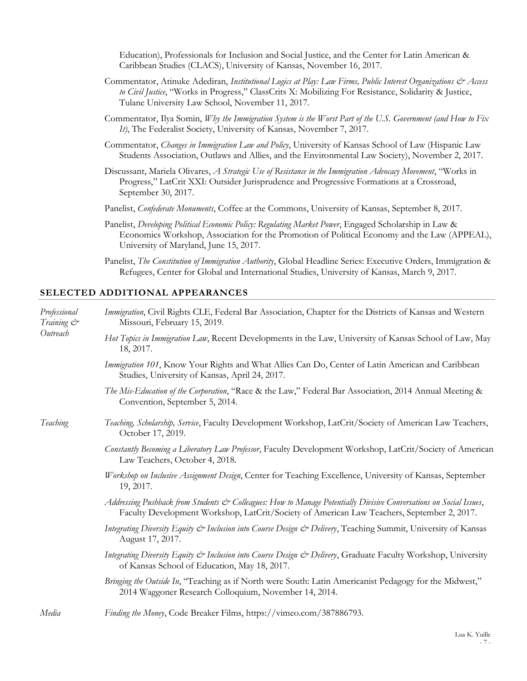Education), Professionals for Inclusion and Social Justice, and the Center for Latin American & Caribbean Studies (CLACS), University of Kansas, November 16, 2017.

- Commentator, Atinuke Adediran, *Institutional Logics at Play: Law Firms, Public Interest Organizations & Access to Civil Justice*, "Works in Progress," ClassCrits X: Mobilizing For Resistance, Solidarity & Justice, Tulane University Law School, November 11, 2017.
- Commentator, Ilya Somin, *Why the Immigration System is the Worst Part of the U.S. Government (and How to Fix It)*, The Federalist Society, University of Kansas, November 7, 2017.
- Commentator, *Changes in Immigration Law and Policy*, University of Kansas School of Law (Hispanic Law Students Association, Outlaws and Allies, and the Environmental Law Society), November 2, 2017.
- Discussant, Mariela Olivares, *A Strategic Use of Resistance in the Immigration Advocacy Movement*, "Works in Progress," LatCrit XXI: Outsider Jurisprudence and Progressive Formations at a Crossroad, September 30, 2017.
- Panelist, *Confederate Monuments*, Coffee at the Commons, University of Kansas, September 8, 2017.
- Panelist, *Developing Political Economic Policy: Regulating Market Power*, Engaged Scholarship in Law & Economics Workshop, Association for the Promotion of Political Economy and the Law (APPEAL), University of Maryland, June 15, 2017.
- Panelist, *The Constitution of Immigration Authority*, Global Headline Series: Executive Orders, Immigration & Refugees, Center for Global and International Studies, University of Kansas, March 9, 2017.

#### **SELECTED ADDITIONAL APPEARANCES**

| Professional<br>Training & | Immigration, Civil Rights CLE, Federal Bar Association, Chapter for the Districts of Kansas and Western<br>Missouri, February 15, 2019.                                                                          |  |  |
|----------------------------|------------------------------------------------------------------------------------------------------------------------------------------------------------------------------------------------------------------|--|--|
| Outreach                   | Hot Topics in Immigration Law, Recent Developments in the Law, University of Kansas School of Law, May<br>18, 2017.                                                                                              |  |  |
|                            | Immigration 101, Know Your Rights and What Allies Can Do, Center of Latin American and Caribbean<br>Studies, University of Kansas, April 24, 2017.                                                               |  |  |
|                            | The Mis-Education of the Corporation, "Race & the Law," Federal Bar Association, 2014 Annual Meeting &<br>Convention, September 5, 2014.                                                                         |  |  |
| Teaching                   | Teaching, Scholarship, Service, Faculty Development Workshop, LatCrit/Society of American Law Teachers,<br>October 17, 2019.                                                                                     |  |  |
|                            | Constantly Becoming a Liberatory Law Professor, Faculty Development Workshop, LatCrit/Society of American<br>Law Teachers, October 4, 2018.                                                                      |  |  |
|                            | Workshop on Inclusive Assignment Design, Center for Teaching Excellence, University of Kansas, September<br>19, 2017.                                                                                            |  |  |
|                            | Addressing Pushback from Students & Colleagues: How to Manage Potentially Divisive Conversations on Social Issues,<br>Faculty Development Workshop, LatCrit/Society of American Law Teachers, September 2, 2017. |  |  |
|                            | Integrating Diversity Equity & Inclusion into Course Design & Delivery, Teaching Summit, University of Kansas<br>August 17, 2017.                                                                                |  |  |
|                            | Integrating Diversity Equity & Inclusion into Course Design & Delivery, Graduate Faculty Workshop, University<br>of Kansas School of Education, May 18, 2017.                                                    |  |  |
|                            | Bringing the Outside In, "Teaching as if North were South: Latin Americanist Pedagogy for the Midwest,"<br>2014 Waggoner Research Colloquium, November 14, 2014.                                                 |  |  |
| Media                      | Finding the Money, Code Breaker Films, https://vimeo.com/387886793.                                                                                                                                              |  |  |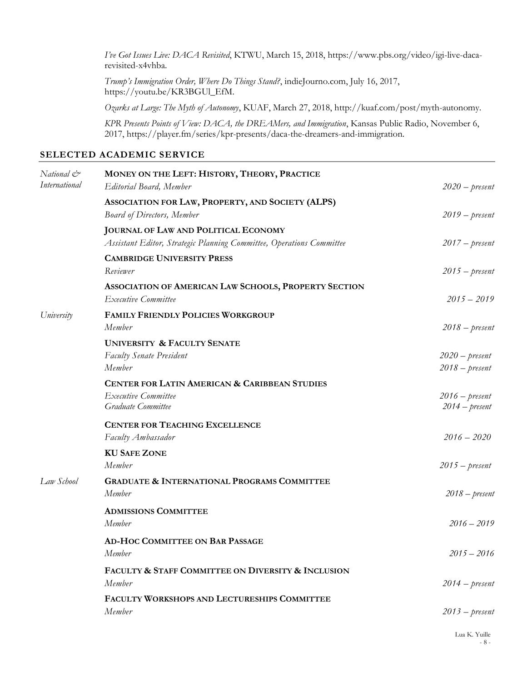*I've Got Issues Live: DACA Revisited*, KTWU, March 15, 2018, https://www.pbs.org/video/igi-live-dacarevisited-x4vhba.

*Trump's Immigration Order, Where Do Things Stand?*, indieJourno.com, July 16, 2017, https://youtu.be/KR3BGUl\_EfM.

*Ozarks at Large: The Myth of Autonomy*, KUAF, March 27, 2018, http://kuaf.com/post/myth-autonomy.

*KPR Presents Points of View: DACA, the DREAMers, and Immigration*, Kansas Public Radio, November 6, 2017, https://player.fm/series/kpr-presents/daca-the-dreamers-and-immigration.

#### **SELECTED ACADEMIC SERVICE**

| National &<br><i>International</i> | MONEY ON THE LEFT: HISTORY, THEORY, PRACTICE<br><b>Editorial Board</b> , Member                                     | $2020$ – present                     |
|------------------------------------|---------------------------------------------------------------------------------------------------------------------|--------------------------------------|
|                                    | ASSOCIATION FOR LAW, PROPERTY, AND SOCIETY (ALPS)<br><b>Board of Directors, Member</b>                              | $2019 - present$                     |
|                                    | <b>JOURNAL OF LAW AND POLITICAL ECONOMY</b><br>Assistant Editor, Strategic Planning Committee, Operations Committee | $2017 - present$                     |
|                                    | <b>CAMBRIDGE UNIVERSITY PRESS</b><br>Reviewer                                                                       | $2015 - present$                     |
|                                    | ASSOCIATION OF AMERICAN LAW SCHOOLS, PROPERTY SECTION<br>Executive Committee                                        | $2015 - 2019$                        |
| University                         | <b>FAMILY FRIENDLY POLICIES WORKGROUP</b><br>Member                                                                 | $2018 - present$                     |
|                                    | <b>UNIVERSITY &amp; FACULTY SENATE</b><br><b>Faculty Senate President</b><br>Member                                 | $2020$ – present<br>$2018 - present$ |
|                                    | <b>CENTER FOR LATIN AMERICAN &amp; CARIBBEAN STUDIES</b><br><b>Executive Committee</b><br>Graduate Committee        | $2016$ – present<br>$2014 - present$ |
|                                    | <b>CENTER FOR TEACHING EXCELLENCE</b><br>Faculty Ambassador                                                         | $2016 - 2020$                        |
|                                    | <b>KU SAFE ZONE</b><br>Member                                                                                       | $2015 - present$                     |
| Law School                         | <b>GRADUATE &amp; INTERNATIONAL PROGRAMS COMMITTEE</b><br>Member                                                    | $2018 - present$                     |
|                                    | <b>ADMISSIONS COMMITTEE</b><br>Member                                                                               | $2016 - 2019$                        |
|                                    | AD-HOC COMMITTEE ON BAR PASSAGE<br>Member                                                                           | $2015 - 2016$                        |
|                                    | FACULTY & STAFF COMMITTEE ON DIVERSITY & INCLUSION<br>Member                                                        | $2014 - present$                     |
|                                    | FACULTY WORKSHOPS AND LECTURESHIPS COMMITTEE<br>Member                                                              | $2013$ – present                     |
|                                    |                                                                                                                     |                                      |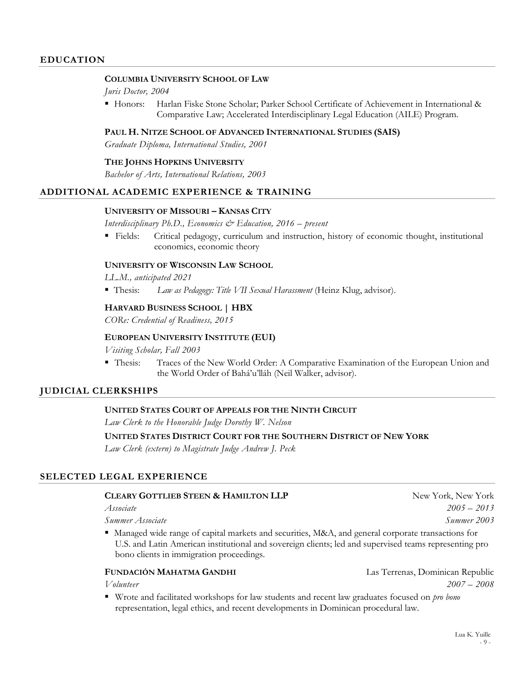#### **COLUMBIA UNIVERSITY SCHOOL OF LAW**

*Juris Doctor, 2004* 

 Honors: Harlan Fiske Stone Scholar; Parker School Certificate of Achievement in International & Comparative Law; Accelerated Interdisciplinary Legal Education (AILE) Program.

#### **PAUL H. NITZE SCHOOL OF ADVANCED INTERNATIONAL STUDIES (SAIS)**

*Graduate Diploma, International Studies, 2001* 

#### **THE JOHNS HOPKINS UNIVERSITY**

*Bachelor of Arts, International Relations, 2003* 

# **ADDITIONAL ACADEMIC EXPERIENCE & TRAINING**

#### **UNIVERSITY OF MISSOURI – KANSAS CITY**

*Interdisciplinary Ph.D., Economics & Education, 2016 – present* 

 Fields: Critical pedagogy, curriculum and instruction, history of economic thought, institutional economics, economic theory

#### **UNIVERSITY OF WISCONSIN LAW SCHOOL**

*LL.M., anticipated 2021* 

Thesis: *Law as Pedagogy: Title VII Sexual Harassment* (Heinz Klug, advisor).

#### **HARVARD BUSINESS SCHOOL | HBX**

*CORe: Credential of Readiness, 2015* 

#### **EUROPEAN UNIVERSITY INSTITUTE (EUI)**

*Visiting Scholar, Fall 2003* 

 Thesis: Traces of the New World Order: A Comparative Examination of the European Union and the World Order of Bahá'u'lláh (Neil Walker, advisor).

# **JUDICIAL CLERKSHIPS**

#### **UNITED STATES COURT OF APPEALS FOR THE NINTH CIRCUIT**

*Law Clerk to the Honorable Judge Dorothy W. Nelson* 

**UNITED STATES DISTRICT COURT FOR THE SOUTHERN DISTRICT OF NEW YORK** 

*Law Clerk (extern) to Magistrate Judge Andrew J. Peck* 

# **SELECTED LEGAL EXPERIENCE**

#### **CLEARY GOTTLIEB STEEN & HAMILTON LLP** New York, New York, New York

**Summer Associate** Summer 2003

 Managed wide range of capital markets and securities, M&A, and general corporate transactions for U.S. and Latin American institutional and sovereign clients; led and supervised teams representing pro bono clients in immigration proceedings.

# **FUNDACIÓN MAHATMA GANDHI** Las Terrenas, Dominican Republic

*Volunteer 2007 – 2008* 

 Wrote and facilitated workshops for law students and recent law graduates focused on *pro bono* representation, legal ethics, and recent developments in Dominican procedural law.

*Associate 2005 – 2013*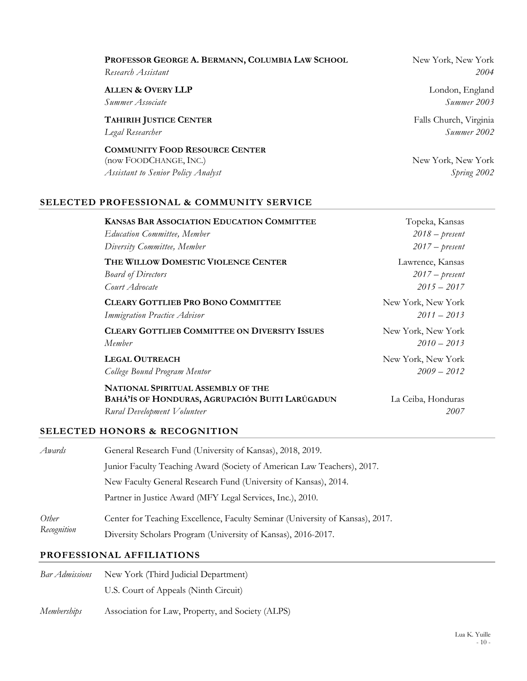| PROFESSOR GEORGE A. BERMANN, COLUMBIA LAW SCHOOL                                                             | New York, New York                |
|--------------------------------------------------------------------------------------------------------------|-----------------------------------|
| Research Assistant                                                                                           | 2004                              |
| <b>ALLEN &amp; OVERY LLP</b>                                                                                 | London, England                   |
| Summer Associate                                                                                             | Summer 2003                       |
| <b>TAHIRIH JUSTICE CENTER</b>                                                                                | Falls Church, Virginia            |
| Legal Researcher                                                                                             | Summer 2002                       |
| <b>COMMUNITY FOOD RESOURCE CENTER</b><br>(now FOODCHANGE, INC.)<br><b>Assistant to Senior Policy Analyst</b> | New York, New York<br>Spring 2002 |

# **SELECTED PROFESSIONAL & COMMUNITY SERVICE**

| <b>KANSAS BAR ASSOCIATION EDUCATION COMMITTEE</b>                                                                           | Topeka, Kansas             |
|-----------------------------------------------------------------------------------------------------------------------------|----------------------------|
| <b>Education Committee</b> , Member                                                                                         | $2018 - present$           |
| Diversity Committee, Member                                                                                                 | $2017$ – present           |
| THE WILLOW DOMESTIC VIOLENCE CENTER                                                                                         | Lawrence, Kansas           |
| <b>Board of Directors</b>                                                                                                   | $2017 - present$           |
| Court Advocate                                                                                                              | $2015 - 2017$              |
| <b>CLEARY GOTTLIEB PRO BONO COMMITTEE</b>                                                                                   | New York, New York         |
| <b>Immigration Practice Advisor</b>                                                                                         | $2011 - 2013$              |
| <b>CLEARY GOTTLIEB COMMITTEE ON DIVERSITY ISSUES</b>                                                                        | New York, New York         |
| Member                                                                                                                      | $2010 - 2013$              |
| <b>LEGAL OUTREACH</b>                                                                                                       | New York, New York         |
| College Bound Program Mentor                                                                                                | $2009 - 2012$              |
| <b>NATIONAL SPIRITUAL ASSEMBLY OF THE</b><br>BAHÁ'ÍS OF HONDURAS, AGRUPACIÓN BUITI LARÚGADUN<br>Rural Development Volunteer | La Ceiba, Honduras<br>2007 |

# **SELECTED HONORS & RECOGNITION**

| Awards               | General Research Fund (University of Kansas), 2018, 2019.                     |  |
|----------------------|-------------------------------------------------------------------------------|--|
|                      | Junior Faculty Teaching Award (Society of American Law Teachers), 2017.       |  |
|                      | New Faculty General Research Fund (University of Kansas), 2014.               |  |
|                      | Partner in Justice Award (MFY Legal Services, Inc.), 2010.                    |  |
| Other<br>Recognition | Center for Teaching Excellence, Faculty Seminar (University of Kansas), 2017. |  |
|                      | Diversity Scholars Program (University of Kansas), 2016-2017.                 |  |

# **PROFESSIONAL AFFILIATIONS**

| Bar Admissions | New York (Third Judicial Department)              |
|----------------|---------------------------------------------------|
|                | U.S. Court of Appeals (Ninth Circuit)             |
| Memberships    | Association for Law, Property, and Society (ALPS) |